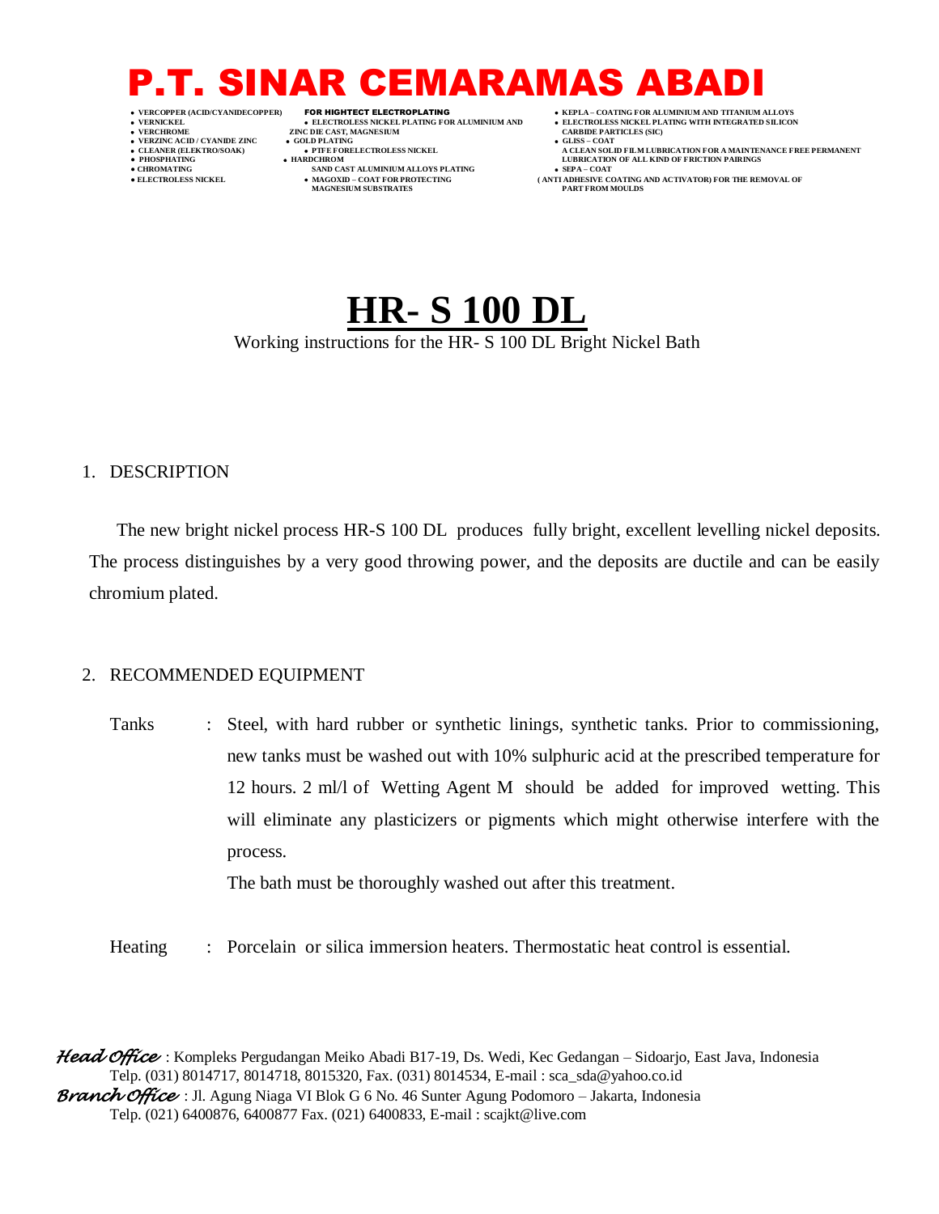- 
- 
- 
- -
- 
- 
- 
- **VERNICKEL ELECTROLESS NICKEL PLATING FOR ALUMINIUM AND ELECTROLESS NICKEL PLATING WITH INTEGRATED SILICON ZINC DIE CAST, MAGNESIUM • GOLD PLATING VERZINC ACID / CYANIDE ZINC GOLD PLATING GLISS – COAT**
	-
- **● CHROMATING SAND CAST ALUMINIUM ALLOYS PLATING SEPA – COAT**
	- $\bullet$  MAGOXID COAT FOR PROTECTING MAGNESIUM SUBSTRATES
- **VERCOPPER (ACID/CYANIDECOPPER)** FOR HIGHTECT ELECTROPLATING  **KEPLA – COATING FOR ALUMINIUM AND TITANIUM ALLOYS**
	-
- **CLEANER (ELEKTRO/SOAK) PTFE FORELECTROLESS NICKEL A CLEAN SOLID FILM LUBRICATION FOR A MAINTENANCE FREE PERMANENT PHOSPHATING HARDCHROM LUBRICATION OF ALL KIND OF FRICTION PAIRINGS** 
	- **ANTI ADHESIVE COATING AND ACTIVATOR) FOR THE REMOVAL OF PART FROM MOULDS**

## **HR- S 100 DL**

#### Working instructions for the HR- S 100 DL Bright Nickel Bath

#### 1. DESCRIPTION

The new bright nickel process HR-S 100 DL produces fully bright, excellent levelling nickel deposits. The process distinguishes by a very good throwing power, and the deposits are ductile and can be easily chromium plated.

#### 2. RECOMMENDED EQUIPMENT

Tanks : Steel, with hard rubber or synthetic linings, synthetic tanks. Prior to commissioning, new tanks must be washed out with 10% sulphuric acid at the prescribed temperature for 12 hours. 2 ml/l of Wetting Agent M should be added for improved wetting. This will eliminate any plasticizers or pigments which might otherwise interfere with the process. The bath must be thoroughly washed out after this treatment.

Heating : Porcelain or silica immersion heaters. Thermostatic heat control is essential.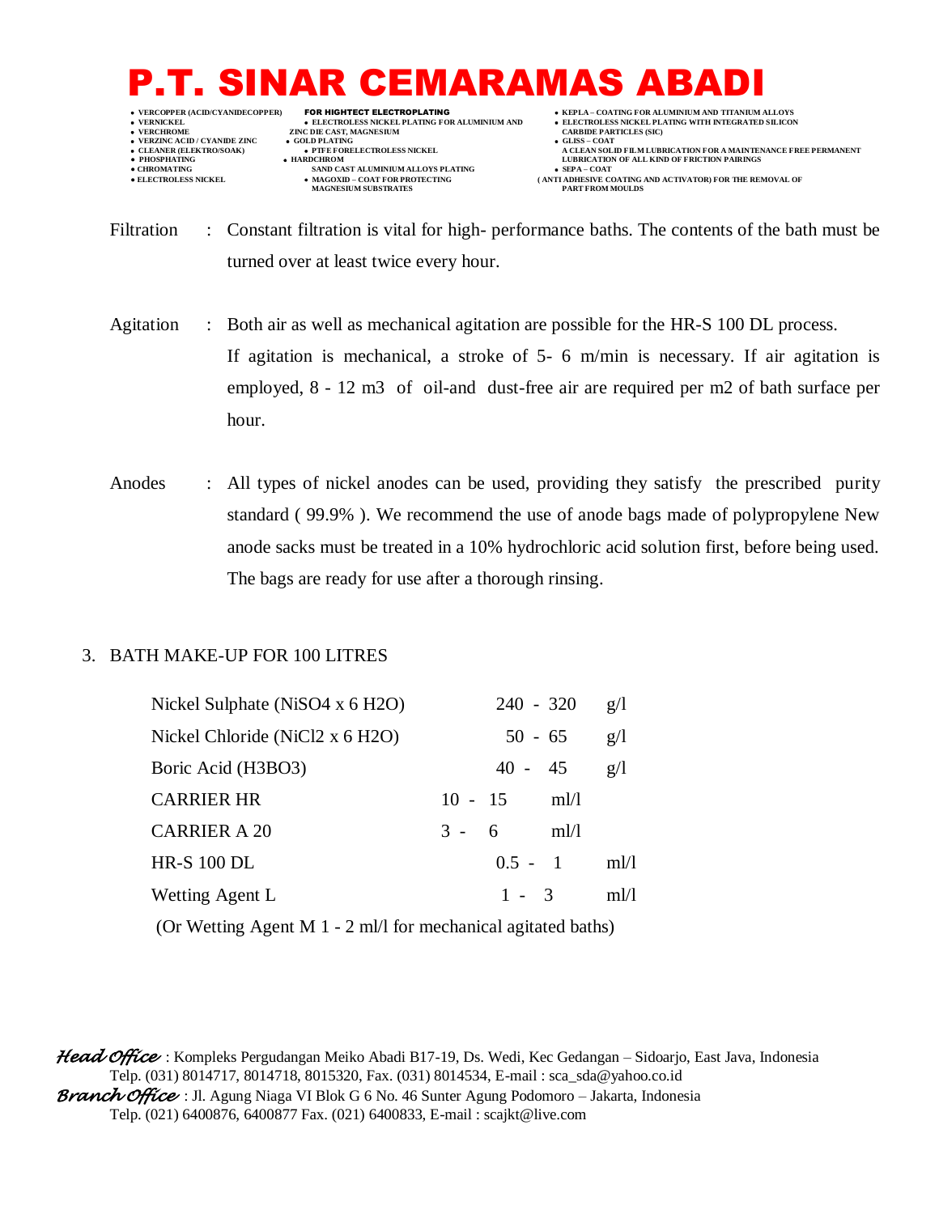- 
- 
- 

**ZINC DIE CAST, MAGNESIUM • GOLD PLATING VERZINC ACID / CYANIDE ZINC GOLD PLATING GLISS – COAT**

- **● CHROMATING SAND CAST ALUMINIUM ALLOYS PLATING SEPA – COAT**
	- $\bullet$  MAGOXID COAT FOR PROTECTING MAGNESIUM SUBSTRATES
- **•** VERCOPPER (ACID/CYANIDECOPPER) **FOR HIGHTECT ELECTROPLATING • ELECTROLATING ELECTROLESS NICKEL PLATING WITH INTEGRATED SILICO ELECTROLESS NICKEL** PLATING WITH INTEGRATED SILICO  **VERNICKEL ELECTROLESS NICKEL PLATING FOR ALUMINIUM AND ELECTROLESS NICKEL PLATING WITH INTEGRATED SILICON**
- **CLEANER (ELEKTRO/SOAK) PTFE FORELECTROLESS NICKEL A CLEAN SOLID FILM LUBRICATION FOR A MAINTENANCE FREE PERMANENT PHOSPHATING HARDCHROM LUBRICATION OF ALL KIND OF FRICTION PAIRINGS** 
	- **ANTI ADHESIVE COATING AND ACTIVATOR) FOR THE REMOVAL OF PART FROM MOULDS**

Filtration : Constant filtration is vital for high- performance baths. The contents of the bath must be turned over at least twice every hour.

- Agitation : Both air as well as mechanical agitation are possible for the HR-S 100 DL process. If agitation is mechanical, a stroke of 5- 6 m/min is necessary. If air agitation is employed, 8 - 12 m3 of oil-and dust-free air are required per m2 of bath surface per hour.
- Anodes : All types of nickel anodes can be used, providing they satisfy the prescribed purity standard ( 99.9% ). We recommend the use of anode bags made of polypropylene New anode sacks must be treated in a 10% hydrochloric acid solution first, before being used. The bags are ready for use after a thorough rinsing.

#### 3. BATH MAKE-UP FOR 100 LITRES

| Nickel Sulphate (NiSO4 x 6 H2O) |         | $240 - 320$ |      | g/l  |
|---------------------------------|---------|-------------|------|------|
| Nickel Chloride (NiCl2 x 6 H2O) |         | $50 - 65$   |      | g/l  |
| Boric Acid (H3BO3)              |         | $40 - 45$   |      | g/l  |
| <b>CARRIER HR</b>               |         | $10 - 15$   | m!/l |      |
| <b>CARRIER A 20</b>             | $3 - 6$ |             | m!/l |      |
| <b>HR-S 100 DL</b>              |         | $0.5 - 1$   |      | ml/l |
| Wetting Agent L                 |         | $1 - 3$     |      | ml/1 |

(Or Wetting Agent M 1 - 2 ml/l for mechanical agitated baths)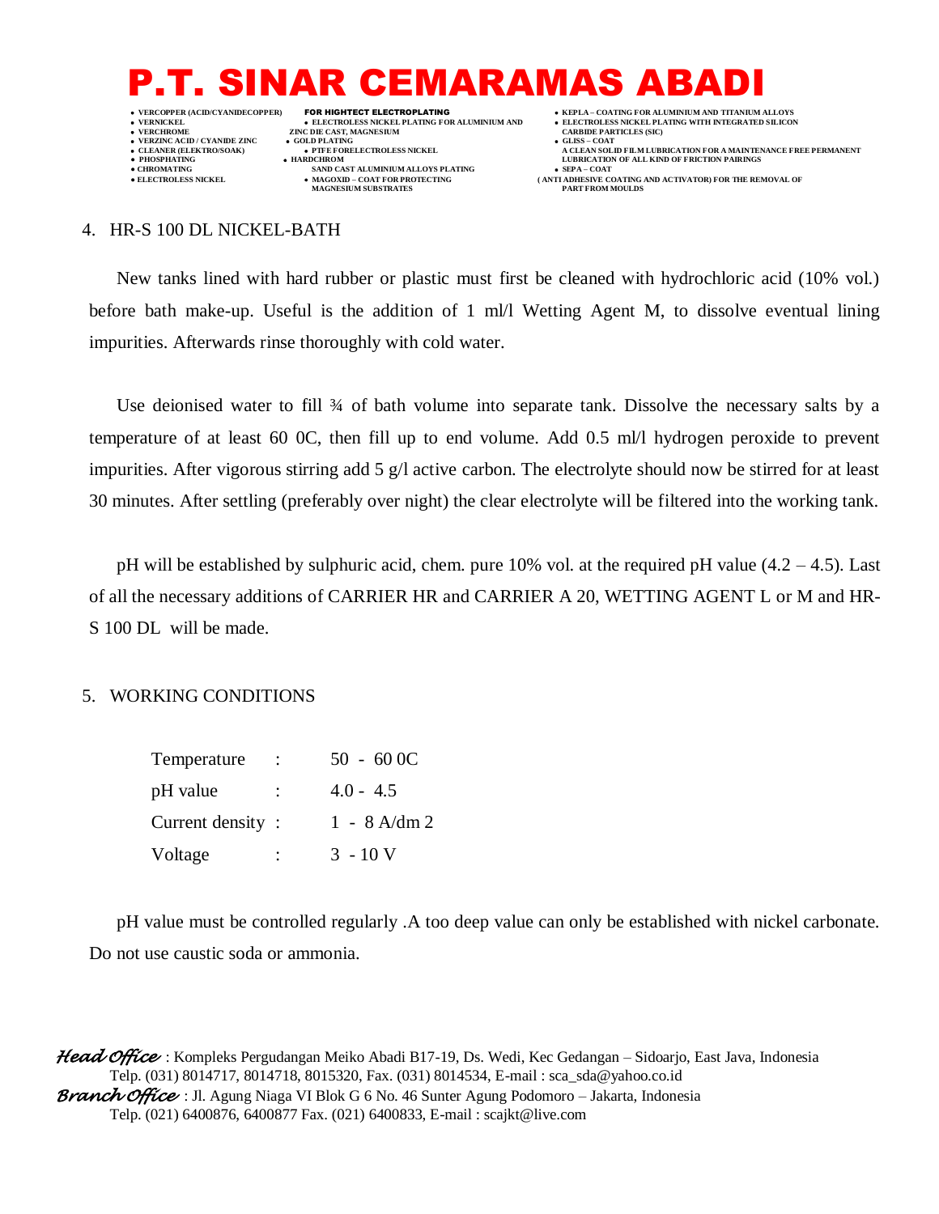

4. HR-S 100 DL NICKEL-BATH

New tanks lined with hard rubber or plastic must first be cleaned with hydrochloric acid (10% vol.) before bath make-up. Useful is the addition of 1 ml/l Wetting Agent M, to dissolve eventual lining impurities. Afterwards rinse thoroughly with cold water.

Use deionised water to fill  $\frac{3}{4}$  of bath volume into separate tank. Dissolve the necessary salts by a temperature of at least 60 0C, then fill up to end volume. Add 0.5 ml/l hydrogen peroxide to prevent impurities. After vigorous stirring add 5 g/l active carbon. The electrolyte should now be stirred for at least 30 minutes. After settling (preferably over night) the clear electrolyte will be filtered into the working tank.

pH will be established by sulphuric acid, chem. pure 10% vol. at the required pH value  $(4.2 - 4.5)$ . Last of all the necessary additions of CARRIER HR and CARRIER A 20, WETTING AGENT L or M and HR-S 100 DL will be made.

#### 5. WORKING CONDITIONS

| Temperature      |    | $50 - 600C$    |
|------------------|----|----------------|
| pH value         | ÷  | $4.0 - 4.5$    |
| Current density: |    | $1 - 8$ A/dm 2 |
| Voltage          | ۰. | $3 - 10$ V     |

pH value must be controlled regularly .A too deep value can only be established with nickel carbonate. Do not use caustic soda or ammonia.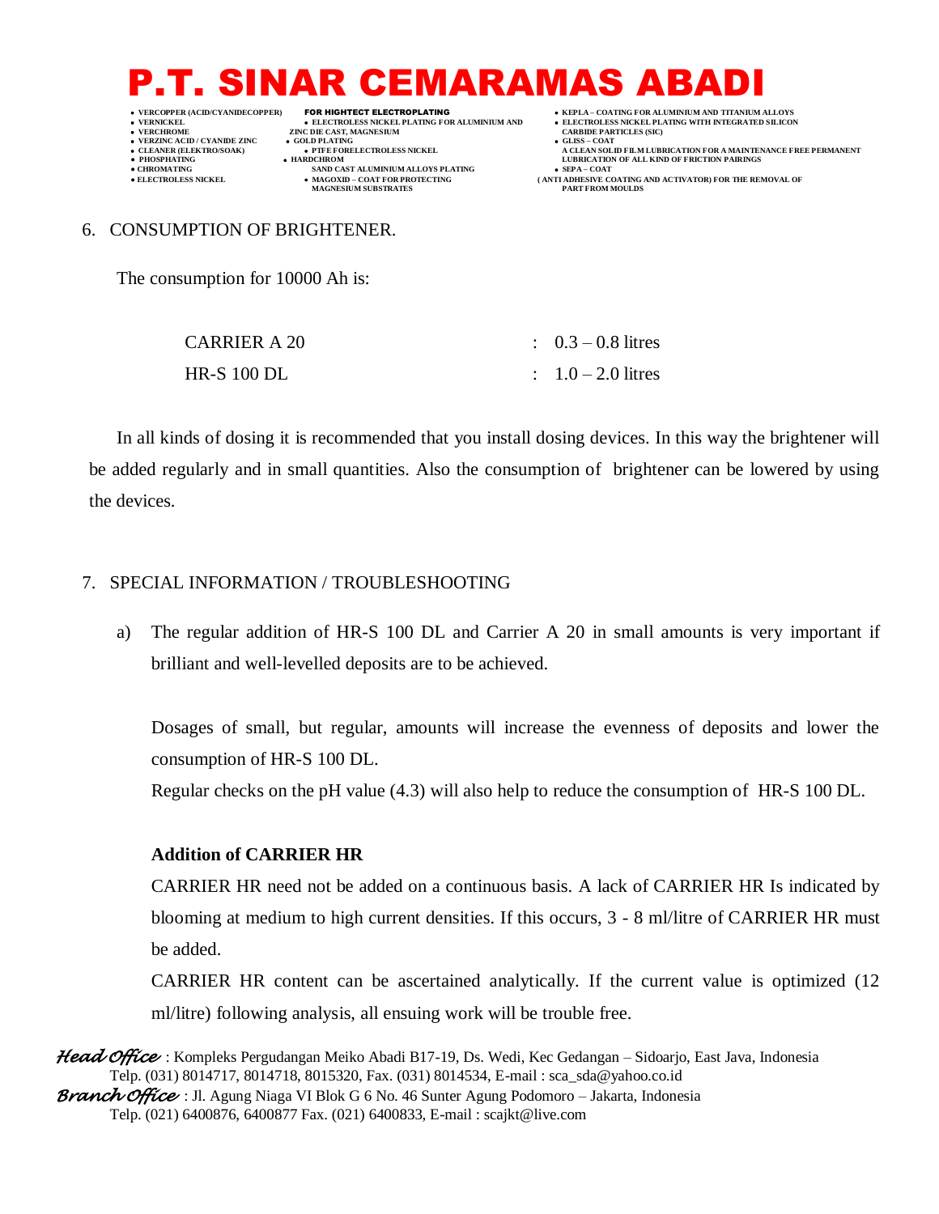- 
- 

 **VERNICKEL ELECTROLESS NICKEL PLATING FOR ALUMINIUM AND ELECTROLESS NICKEL PLATING WITH INTEGRATED SILICON ZINC DIE CAST, MAGNESIUM CARBIT DE LATING** 

- **VERZINC ACID / CYANIDE ZINC GOLD PLATING GLISS – COAT**
- **● CHROMATING SAND CAST ALUMINIUM ALLOYS PLATING SEPA – COAT**  $\bullet$  MAGOXID – COAT FOR PROTECTING MAGNESIUM SUBSTRATES

 **VERCOPPER (ACID/CYANIDECOPPER)** FOR HIGHTECT ELECTROPLATING  **KEPLA – COATING FOR ALUMINIUM AND TITANIUM ALLOYS**

- 
- **CLEANER (ELEKTRO/SOAK) PTFE FORELECTROLESS NICKEL A CLEAN SOLID FILM LUBRICATION FOR A MAINTENANCE FREE PERMANENT PHOSPHATING HARDCHROM LUBRICATION OF ALL KIND OF FRICTION PAIRINGS** 
	- **• SEPA COAT**<br> **(ANTI ADHESIVE COATING AND ACTIVATOR) FOR THE REMOVAL OF<br>
	PART FROM MOULDS**

#### 6. CONSUMPTION OF BRIGHTENER.

The consumption for 10000 Ah is:

| <b>CARRIER A 20</b> | $\therefore$ 0.3 – 0.8 litres |
|---------------------|-------------------------------|
| <b>HR-S 100 DL</b>  | $1.0 - 2.0$ litres            |

In all kinds of dosing it is recommended that you install dosing devices. In this way the brightener will be added regularly and in small quantities. Also the consumption of brightener can be lowered by using the devices.

#### 7. SPECIAL INFORMATION / TROUBLESHOOTING

a) The regular addition of HR-S 100 DL and Carrier A 20 in small amounts is very important if brilliant and well-levelled deposits are to be achieved.

Dosages of small, but regular, amounts will increase the evenness of deposits and lower the consumption of HR-S 100 DL.

Regular checks on the pH value (4.3) will also help to reduce the consumption of HR-S 100 DL.

#### **Addition of CARRIER HR**

CARRIER HR need not be added on a continuous basis. A lack of CARRIER HR Is indicated by blooming at medium to high current densities. If this occurs, 3 - 8 ml/litre of CARRIER HR must be added.

CARRIER HR content can be ascertained analytically. If the current value is optimized (12 ml/litre) following analysis, all ensuing work will be trouble free.

*Head Office* : Kompleks Pergudangan Meiko Abadi B17-19, Ds. Wedi, Kec Gedangan – Sidoarjo, East Java, Indonesia Telp. (031) 8014717, 8014718, 8015320, Fax. (031) 8014534, E-mail : sca\_sda@yahoo.co.id

*Branch Office* : Jl. Agung Niaga VI Blok G 6 No. 46 Sunter Agung Podomoro – Jakarta, Indonesia Telp. (021) 6400876, 6400877 Fax. (021) 6400833, E-mail : scajkt@live.com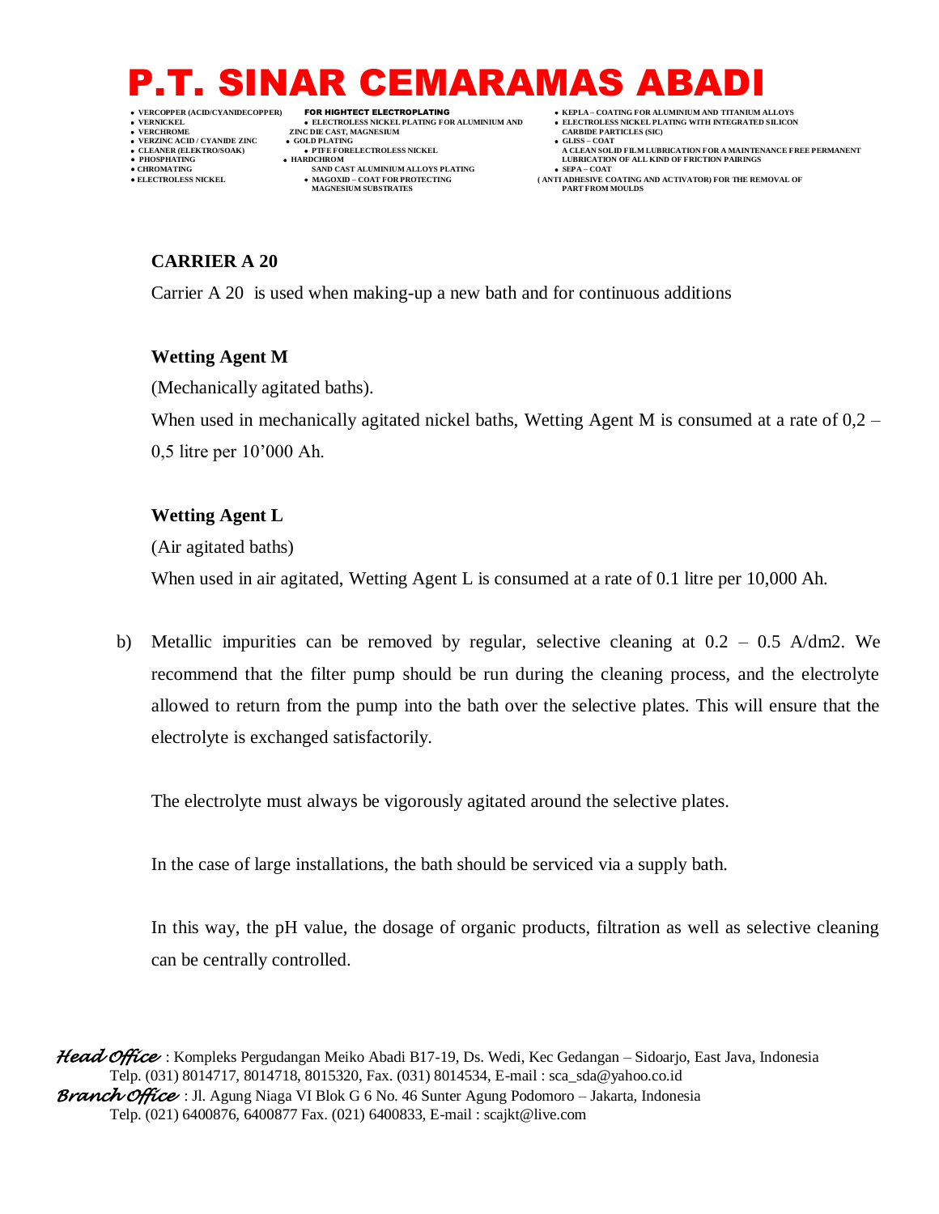- 
- -
- 
- 
- 

 **VERNICKEL ELECTROLESS NICKEL PLATING FOR ALUMINIUM AND ELECTROLESS NICKEL PLATING WITH INTEGRATED SILICON ZINC DIE CAST, MAGNESIUM CARBIT DE LATING VERZINC ACID / CYANIDE ZINC GOLD PLATING GLISS – COAT**

- 
- **● CHROMATING SAND CAST ALUMINIUM ALLOYS PLATING SEPA – COAT**  $\bullet$  MAGOXID – COAT FOR PROTECTING MAGNESIUM SUBSTRATES
- **VERCOPPER (ACID/CYANIDECOPPER)** FOR HIGHTECT ELECTROPLATING  **KEPLA – COATING FOR ALUMINIUM AND TITANIUM ALLOYS**
	-
- **CLEANER (ELEKTRO/SOAK) PTFE FORELECTROLESS NICKEL A CLEAN SOLID FILM LUBRICATION FOR A MAINTENANCE FREE PERMANENT PHOSPHATING HARDCHROM LUBRICATION OF ALL KIND OF FRICTION PAIRINGS** 
	- **ELECTROLESS AND ACTIVATOR) FOR THE REMOVAL OF PART FROM MOULDS**

### **CARRIER A 20**

Carrier A 20 is used when making-up a new bath and for continuous additions

### **Wetting Agent M**

(Mechanically agitated baths).

When used in mechanically agitated nickel baths, Wetting Agent M is consumed at a rate of 0,2 – 0,5 litre per 10'000 Ah.

### **Wetting Agent L**

(Air agitated baths)

When used in air agitated, Wetting Agent L is consumed at a rate of 0.1 litre per 10,000 Ah.

b) Metallic impurities can be removed by regular, selective cleaning at  $0.2 - 0.5$  A/dm2. We recommend that the filter pump should be run during the cleaning process, and the electrolyte allowed to return from the pump into the bath over the selective plates. This will ensure that the electrolyte is exchanged satisfactorily.

The electrolyte must always be vigorously agitated around the selective plates.

In the case of large installations, the bath should be serviced via a supply bath.

In this way, the pH value, the dosage of organic products, filtration as well as selective cleaning can be centrally controlled.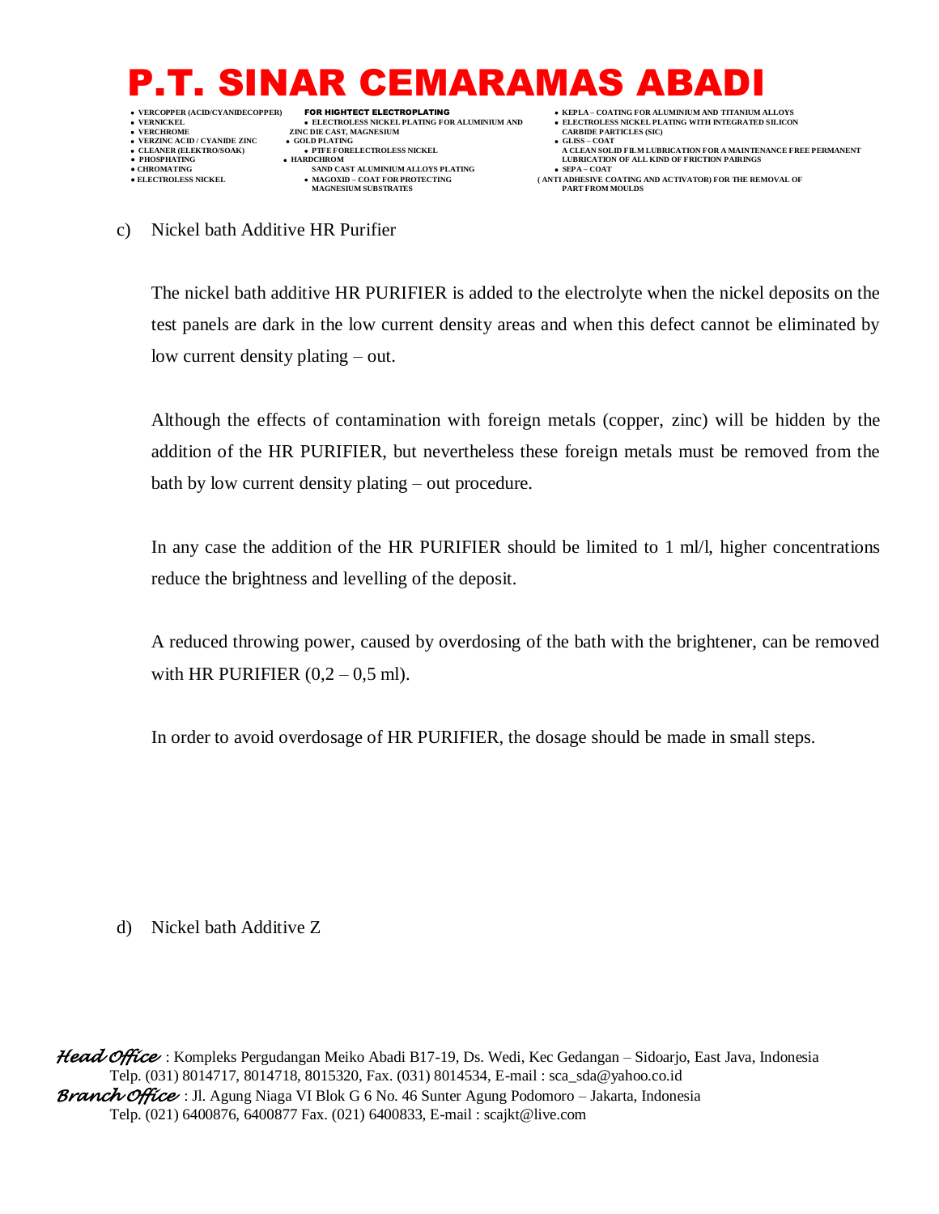

- 
- 
- 
- 

**ZINC DIE CAST, MAGNESIUM CARBIT DE LATING VERZINC ACID / CYANIDE ZINC GOLD PLATING GLISS – COAT**

- 
- **● CHROMATING SAND CAST ALUMINIUM ALLOYS PLATING SEPA – COAT**  $\bullet$  MAGOXID – COAT FOR PROTECTING MAGNESIUM SUBSTRATES
- **VERNICKEL ELECTROLESS NICKEL PLATING FOR ALUMINIUM AND ELECTROLESS NICKEL PLATING WITH INTEGRATED SILICON**
	-
- **CLEANER (ELEKTRO/SOAK) PTFE FORELECTROLESS NICKEL A CLEAN SOLID FILM LUBRICATION FOR A MAINTENANCE FREE PERMANENT PHOSPHATING HARDCHROM LUBRICATION OF ALL KIND OF FRICTION PAIRINGS** 
	- **ELECTROLESS AND ACTIVATOR FOR THE REMOVAL OF PART FROM MOULDS**

c) Nickel bath Additive HR Purifier

The nickel bath additive HR PURIFIER is added to the electrolyte when the nickel deposits on the test panels are dark in the low current density areas and when this defect cannot be eliminated by low current density plating – out.

Although the effects of contamination with foreign metals (copper, zinc) will be hidden by the addition of the HR PURIFIER, but nevertheless these foreign metals must be removed from the bath by low current density plating – out procedure.

In any case the addition of the HR PURIFIER should be limited to 1 ml/l, higher concentrations reduce the brightness and levelling of the deposit.

A reduced throwing power, caused by overdosing of the bath with the brightener, can be removed with HR PURIFIER  $(0,2 - 0.5 \text{ ml})$ .

In order to avoid overdosage of HR PURIFIER, the dosage should be made in small steps.

d) Nickel bath Additive Z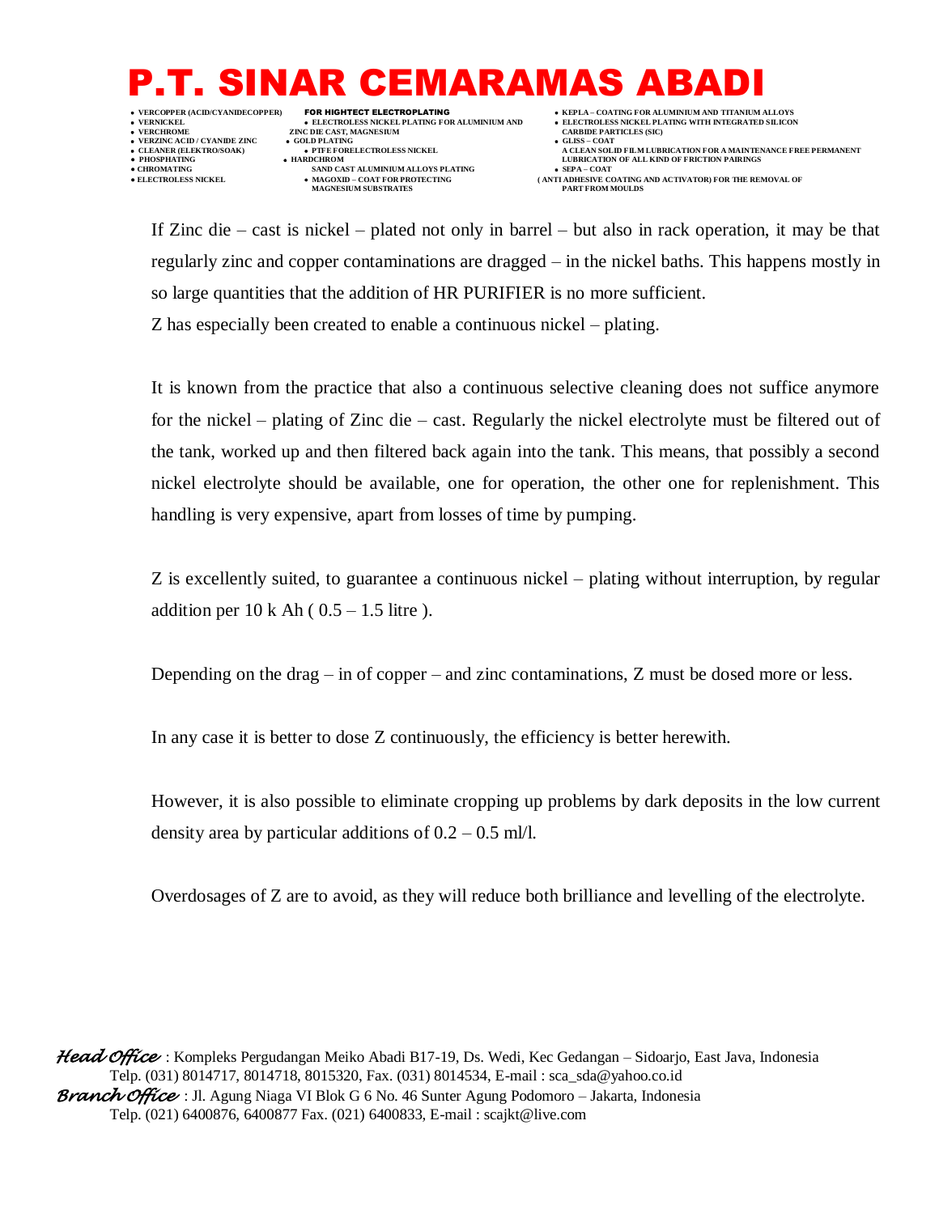**VERZINC ACID / CYANIDE ZINC GOLD PLATING GLISS – COAT**

**ZINC DIE CAST, MAGNESIUM CARBIT DE LATING** 

**● CHROMATING SAND CAST ALUMINIUM ALLOYS PLATING SEPA – COAT**  $\bullet$  MAGOXID – COAT FOR PROTECTING MAGNESIUM SUBSTRATES

 **VERCOPPER (ACID/CYANIDECOPPER)** FOR HIGHTECT ELECTROPLATING  **KEPLA – COATING FOR ALUMINIUM AND TITANIUM ALLOYS VERNICKEL ELECTROLESS NICKEL PLATING FOR ALUMINIUM AND ELECTROLESS NICKEL PLATING WITH INTEGRATED SILICON**

 **CLEANER (ELEKTRO/SOAK) PTFE FORELECTROLESS NICKEL A CLEAN SOLID FILM LUBRICATION FOR A MAINTENANCE FREE PERMANENT ● PHOSPHATING HARDCHROM LUBRICATION OF ALL KIND OF FRICTION PAIRINGS** 

**ELECTROLESS AND ACTIVATOR) FOR THE REMOVAL OF PART FROM MOULDS** 

If Zinc die – cast is nickel – plated not only in barrel – but also in rack operation, it may be that regularly zinc and copper contaminations are dragged – in the nickel baths. This happens mostly in so large quantities that the addition of HR PURIFIER is no more sufficient.

Z has especially been created to enable a continuous nickel – plating.

It is known from the practice that also a continuous selective cleaning does not suffice anymore for the nickel – plating of Zinc die – cast. Regularly the nickel electrolyte must be filtered out of the tank, worked up and then filtered back again into the tank. This means, that possibly a second nickel electrolyte should be available, one for operation, the other one for replenishment. This handling is very expensive, apart from losses of time by pumping.

Z is excellently suited, to guarantee a continuous nickel – plating without interruption, by regular addition per  $10 \text{ k}$  Ah (  $0.5 - 1.5$  litre ).

Depending on the drag – in of copper – and zinc contaminations, Z must be dosed more or less.

In any case it is better to dose Z continuously, the efficiency is better herewith.

However, it is also possible to eliminate cropping up problems by dark deposits in the low current density area by particular additions of  $0.2 - 0.5$  ml/l.

Overdosages of Z are to avoid, as they will reduce both brilliance and levelling of the electrolyte.